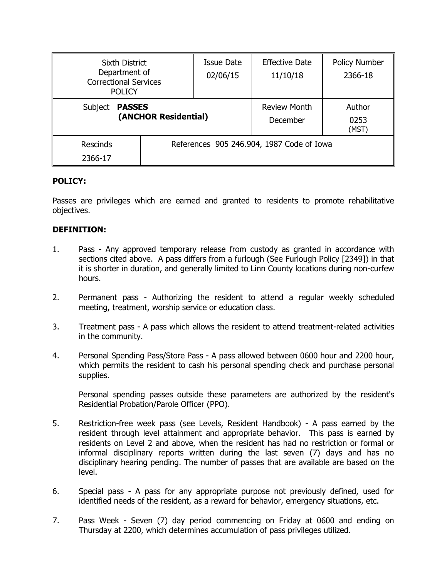| <b>Sixth District</b><br>Department of<br><b>Correctional Services</b><br><b>POLICY</b> |                                           | <b>Issue Date</b><br>02/06/15 | <b>Effective Date</b><br>11/10/18 | <b>Policy Number</b><br>2366-18 |
|-----------------------------------------------------------------------------------------|-------------------------------------------|-------------------------------|-----------------------------------|---------------------------------|
| <b>PASSES</b><br>Subject<br>(ANCHOR Residential)                                        |                                           |                               | <b>Review Month</b><br>December   | Author<br>0253<br>(MST)         |
| <b>Rescinds</b><br>2366-17                                                              | References 905 246.904, 1987 Code of Iowa |                               |                                   |                                 |

### **POLICY:**

Passes are privileges which are earned and granted to residents to promote rehabilitative objectives.

# **DEFINITION:**

- 1. Pass Any approved temporary release from custody as granted in accordance with sections cited above. A pass differs from a furlough (See Furlough Policy [2349]) in that it is shorter in duration, and generally limited to Linn County locations during non-curfew hours.
- 2. Permanent pass Authorizing the resident to attend a regular weekly scheduled meeting, treatment, worship service or education class.
- 3. Treatment pass A pass which allows the resident to attend treatment-related activities in the community.
- 4. Personal Spending Pass/Store Pass A pass allowed between 0600 hour and 2200 hour, which permits the resident to cash his personal spending check and purchase personal supplies.

Personal spending passes outside these parameters are authorized by the resident's Residential Probation/Parole Officer (PPO).

- 5. Restriction-free week pass (see Levels, Resident Handbook) A pass earned by the resident through level attainment and appropriate behavior. This pass is earned by residents on Level 2 and above, when the resident has had no restriction or formal or informal disciplinary reports written during the last seven (7) days and has no disciplinary hearing pending. The number of passes that are available are based on the level.
- 6. Special pass A pass for any appropriate purpose not previously defined, used for identified needs of the resident, as a reward for behavior, emergency situations, etc.
- 7. Pass Week Seven (7) day period commencing on Friday at 0600 and ending on Thursday at 2200, which determines accumulation of pass privileges utilized.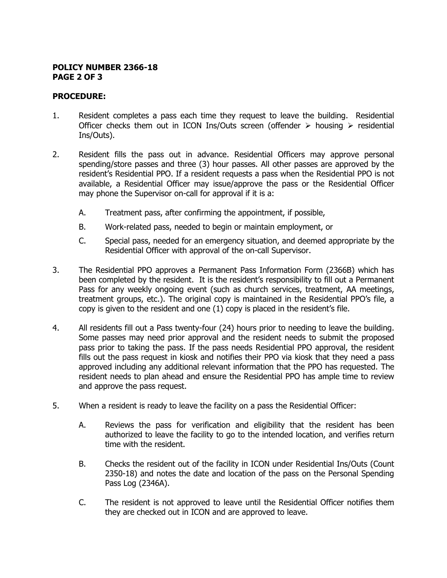### **POLICY NUMBER 2366-18 PAGE 2 OF 3**

## **PROCEDURE:**

- 1. Resident completes a pass each time they request to leave the building. Residential Officer checks them out in ICON Ins/Outs screen (offender  $\triangleright$  housing  $\triangleright$  residential Ins/Outs).
- 2. Resident fills the pass out in advance. Residential Officers may approve personal spending/store passes and three (3) hour passes. All other passes are approved by the resident's Residential PPO. If a resident requests a pass when the Residential PPO is not available, a Residential Officer may issue/approve the pass or the Residential Officer may phone the Supervisor on-call for approval if it is a:
	- A. Treatment pass, after confirming the appointment, if possible,
	- B. Work-related pass, needed to begin or maintain employment, or
	- C. Special pass, needed for an emergency situation, and deemed appropriate by the Residential Officer with approval of the on-call Supervisor.
- 3. The Residential PPO approves a Permanent Pass Information Form (2366B) which has been completed by the resident. It is the resident's responsibility to fill out a Permanent Pass for any weekly ongoing event (such as church services, treatment, AA meetings, treatment groups, etc.). The original copy is maintained in the Residential PPO's file, a copy is given to the resident and one (1) copy is placed in the resident's file.
- 4. All residents fill out a Pass twenty-four (24) hours prior to needing to leave the building. Some passes may need prior approval and the resident needs to submit the proposed pass prior to taking the pass. If the pass needs Residential PPO approval, the resident fills out the pass request in kiosk and notifies their PPO via kiosk that they need a pass approved including any additional relevant information that the PPO has requested. The resident needs to plan ahead and ensure the Residential PPO has ample time to review and approve the pass request.
- 5. When a resident is ready to leave the facility on a pass the Residential Officer:
	- A. Reviews the pass for verification and eligibility that the resident has been authorized to leave the facility to go to the intended location, and verifies return time with the resident.
	- B. Checks the resident out of the facility in ICON under Residential Ins/Outs (Count 2350-18) and notes the date and location of the pass on the Personal Spending Pass Log (2346A).
	- C. The resident is not approved to leave until the Residential Officer notifies them they are checked out in ICON and are approved to leave.